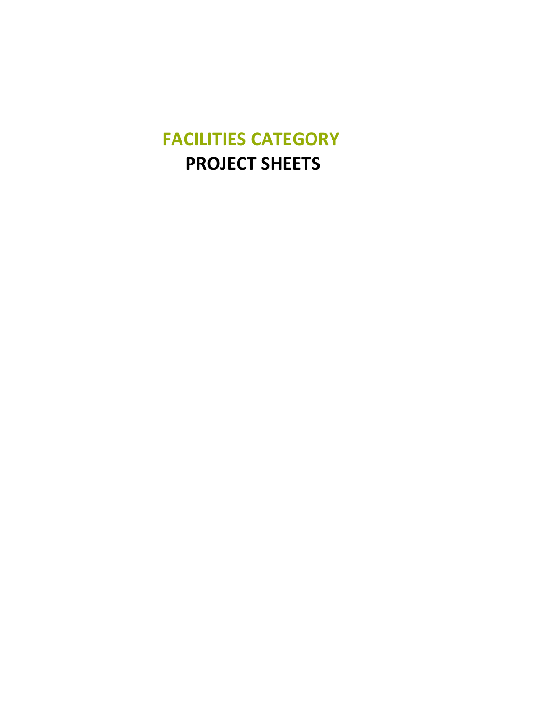## **FACILITIES CATEGORY PROJECT SHEETS**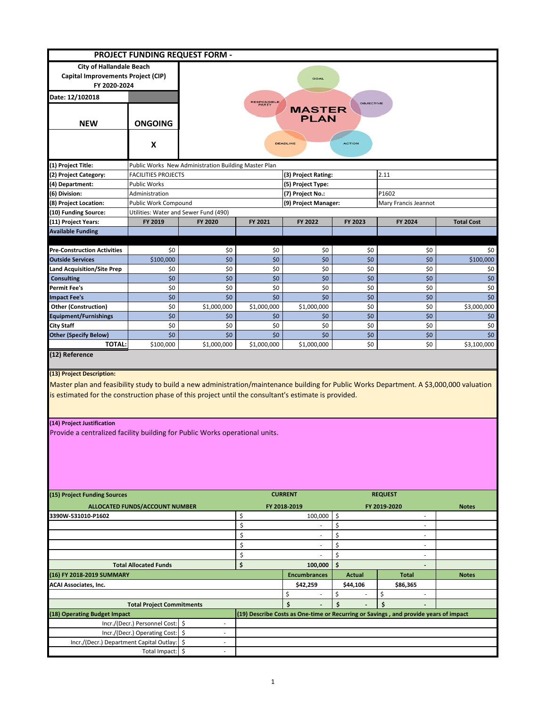|                                                                                                                                                                                                                                                                                |                                  | PROJECT FUNDING REQUEST FORM -                                                      |                |                         |                |                                                                                      |                   |  |  |  |
|--------------------------------------------------------------------------------------------------------------------------------------------------------------------------------------------------------------------------------------------------------------------------------|----------------------------------|-------------------------------------------------------------------------------------|----------------|-------------------------|----------------|--------------------------------------------------------------------------------------|-------------------|--|--|--|
| <b>City of Hallandale Beach</b>                                                                                                                                                                                                                                                |                                  |                                                                                     |                |                         |                |                                                                                      |                   |  |  |  |
| Capital Improvements Project (CIP)                                                                                                                                                                                                                                             |                                  | GOAL                                                                                |                |                         |                |                                                                                      |                   |  |  |  |
| FY 2020-2024                                                                                                                                                                                                                                                                   |                                  |                                                                                     |                |                         |                |                                                                                      |                   |  |  |  |
| Date: 12/102018                                                                                                                                                                                                                                                                |                                  |                                                                                     |                |                         |                |                                                                                      |                   |  |  |  |
| <b>NEW</b>                                                                                                                                                                                                                                                                     | <b>ONGOING</b>                   | <b>RESPONSIBLE</b><br><b>OBJECTIVE</b><br><b>MASTER</b><br><b>PLAN</b>              |                |                         |                |                                                                                      |                   |  |  |  |
|                                                                                                                                                                                                                                                                                | X                                | <b>ACTION</b><br><b>DEADLINE</b>                                                    |                |                         |                |                                                                                      |                   |  |  |  |
| (1) Project Title:                                                                                                                                                                                                                                                             |                                  |                                                                                     |                |                         |                |                                                                                      |                   |  |  |  |
| (2) Project Category:                                                                                                                                                                                                                                                          | <b>FACILITIES PROJECTS</b>       | Public Works New Administration Building Master Plan<br>2.11<br>(3) Project Rating: |                |                         |                |                                                                                      |                   |  |  |  |
| (4) Department:                                                                                                                                                                                                                                                                | <b>Public Works</b>              |                                                                                     |                | (5) Project Type:       |                |                                                                                      |                   |  |  |  |
| (6) Division:                                                                                                                                                                                                                                                                  | Administration                   |                                                                                     |                | (7) Project No.:        |                | P1602                                                                                |                   |  |  |  |
| (8) Project Location:                                                                                                                                                                                                                                                          | Public Work Compound             |                                                                                     |                | (9) Project Manager:    |                | Mary Francis Jeannot                                                                 |                   |  |  |  |
| (10) Funding Source:                                                                                                                                                                                                                                                           |                                  | Utilities: Water and Sewer Fund (490)                                               |                |                         |                |                                                                                      |                   |  |  |  |
| (11) Project Years:                                                                                                                                                                                                                                                            | FY 2019                          | FY 2020                                                                             | FY 2021        | FY 2022                 | FY 2023        | FY 2024                                                                              | <b>Total Cost</b> |  |  |  |
| <b>Available Funding</b>                                                                                                                                                                                                                                                       |                                  |                                                                                     |                |                         |                |                                                                                      |                   |  |  |  |
|                                                                                                                                                                                                                                                                                |                                  |                                                                                     |                |                         |                |                                                                                      |                   |  |  |  |
| <b>Pre-Construction Activities</b>                                                                                                                                                                                                                                             | \$0                              | \$0                                                                                 | \$0            | \$0                     | \$0            | \$0                                                                                  | \$0               |  |  |  |
| <b>Outside Services</b>                                                                                                                                                                                                                                                        | \$100,000                        | \$0                                                                                 | \$0            | \$0                     | \$0            | \$0                                                                                  | \$100,000         |  |  |  |
| Land Acquisition/Site Prep                                                                                                                                                                                                                                                     | \$0                              | \$0                                                                                 | \$0            | \$0                     | \$0            | \$0                                                                                  | \$0               |  |  |  |
| <b>Consulting</b>                                                                                                                                                                                                                                                              | \$0                              | \$0                                                                                 | \$0            | \$0                     | \$0            | \$0                                                                                  | \$0               |  |  |  |
| Permit Fee's                                                                                                                                                                                                                                                                   | \$0                              | \$0                                                                                 | \$0            | \$0                     | \$0            | \$0                                                                                  | \$0               |  |  |  |
| <b>Impact Fee's</b>                                                                                                                                                                                                                                                            | \$0                              | \$0                                                                                 | \$0            | \$0                     | \$0            | \$0                                                                                  | \$0               |  |  |  |
| <b>Other (Construction)</b>                                                                                                                                                                                                                                                    | \$0                              | \$1,000,000                                                                         | \$1,000,000    | \$1,000,000             | \$0            | \$0                                                                                  | \$3,000,000       |  |  |  |
| <b>Equipment/Furnishings</b>                                                                                                                                                                                                                                                   | \$0                              | \$0                                                                                 | \$0            | \$0                     | \$0            | \$0                                                                                  | \$0               |  |  |  |
| City Staff                                                                                                                                                                                                                                                                     | \$0                              | \$0                                                                                 | \$0            | \$0                     | \$0            | \$0                                                                                  | \$0               |  |  |  |
| <b>Other (Specify Below)</b>                                                                                                                                                                                                                                                   | \$0                              | \$0                                                                                 | \$0            | \$0                     | \$0            | \$0                                                                                  | \$0               |  |  |  |
| <b>TOTAL:</b><br>(12) Reference                                                                                                                                                                                                                                                | \$100,000                        | \$1,000,000                                                                         | \$1,000,000    | \$1,000,000             | \$0            | \$0                                                                                  | \$3,100,000       |  |  |  |
| (13) Project Description:<br>Master plan and feasibility study to build a new administration/maintenance building for Public Works Department. A \$3,000,000 valuation<br>is estimated for the construction phase of this project until the consultant's estimate is provided. |                                  |                                                                                     |                |                         |                |                                                                                      |                   |  |  |  |
| (14) Project Justification<br>Provide a centralized facility building for Public Works operational units.                                                                                                                                                                      |                                  |                                                                                     |                |                         |                |                                                                                      |                   |  |  |  |
| (15) Project Funding Sources                                                                                                                                                                                                                                                   |                                  |                                                                                     | <b>CURRENT</b> |                         | <b>REQUEST</b> |                                                                                      |                   |  |  |  |
| ALLOCATED FUNDS/ACCOUNT NUMBER                                                                                                                                                                                                                                                 |                                  |                                                                                     | \$             | FY 2018-2019<br>100,000 | \$             | FY 2019-2020<br>$\sim$                                                               | <b>Notes</b>      |  |  |  |
| 3390W-531010-P1602                                                                                                                                                                                                                                                             |                                  |                                                                                     | \$             |                         | \$             |                                                                                      |                   |  |  |  |
|                                                                                                                                                                                                                                                                                |                                  |                                                                                     |                |                         |                |                                                                                      |                   |  |  |  |
|                                                                                                                                                                                                                                                                                |                                  |                                                                                     | \$<br>$\sim$   |                         | \$<br>ä,       |                                                                                      |                   |  |  |  |
|                                                                                                                                                                                                                                                                                |                                  |                                                                                     | \$<br>$\sim$   |                         | \$<br>٠        |                                                                                      |                   |  |  |  |
|                                                                                                                                                                                                                                                                                |                                  |                                                                                     | \$             |                         | \$             | $\sim$                                                                               |                   |  |  |  |
| <b>Total Allocated Funds</b>                                                                                                                                                                                                                                                   |                                  |                                                                                     | \$             | 100,000                 | \$             |                                                                                      |                   |  |  |  |
| (16) FY 2018-2019 SUMMARY                                                                                                                                                                                                                                                      |                                  |                                                                                     |                | <b>Encumbrances</b>     | <b>Actual</b>  | <b>Total</b>                                                                         | <b>Notes</b>      |  |  |  |
| ACAI Associates, Inc.                                                                                                                                                                                                                                                          |                                  |                                                                                     |                | \$42,259                | \$44,106       | \$86,365                                                                             |                   |  |  |  |
|                                                                                                                                                                                                                                                                                |                                  |                                                                                     |                | \$                      | \$             | \$                                                                                   |                   |  |  |  |
| <b>Total Project Commitments</b>                                                                                                                                                                                                                                               |                                  |                                                                                     |                | \$                      | \$             | \$                                                                                   |                   |  |  |  |
| (18) Operating Budget Impact                                                                                                                                                                                                                                                   |                                  |                                                                                     |                |                         |                | (19) Describe Costs as One-time or Recurring or Savings, and provide years of impact |                   |  |  |  |
|                                                                                                                                                                                                                                                                                | Incr./(Decr.) Personnel Cost: \$ | $\overline{\phantom{a}}$<br>÷,                                                      |                |                         |                |                                                                                      |                   |  |  |  |
| Incr./(Decr.) Operating Cost: \$                                                                                                                                                                                                                                               |                                  |                                                                                     |                |                         |                |                                                                                      |                   |  |  |  |
| Incr./(Decr.) Department Capital Outlay:                                                                                                                                                                                                                                       |                                  | -\$                                                                                 |                |                         |                |                                                                                      |                   |  |  |  |
|                                                                                                                                                                                                                                                                                | Total Impact: \$                 |                                                                                     |                |                         |                |                                                                                      |                   |  |  |  |